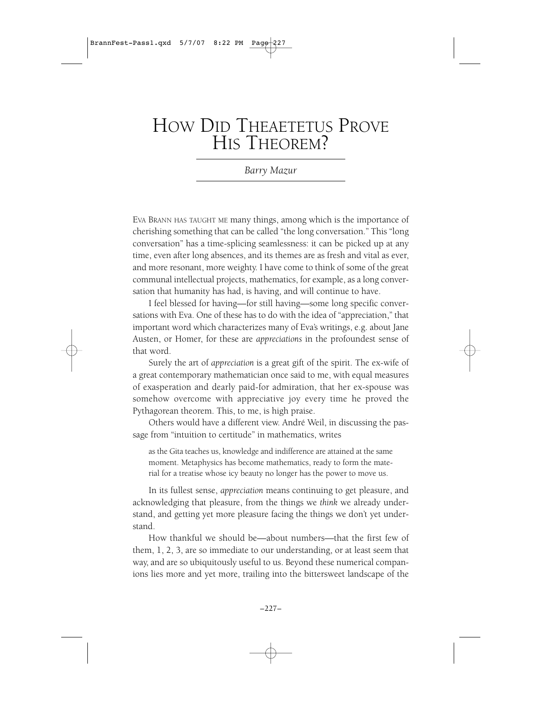# HOW DID THEAETETUS PROVE HIS THEOREM?

*Barry Mazur*

EVA BRANN HAS TAUGHT ME many things, among which is the importance of cherishing something that can be called "the long conversation." This "long conversation" has a time-splicing seamlessness: it can be picked up at any time, even after long absences, and its themes are as fresh and vital as ever, and more resonant, more weighty. I have come to think of some of the great communal intellectual projects, mathematics, for example, as a long conversation that humanity has had, is having, and will continue to have.

I feel blessed for having—for still having—some long specific conversations with Eva. One of these has to do with the idea of "appreciation," that important word which characterizes many of Eva's writings, e.g. about Jane Austen, or Homer, for these are *appreciations* in the profoundest sense of that word.

Surely the art of *appreciation* is a great gift of the spirit. The ex-wife of a great contemporary mathematician once said to me, with equal measures of exasperation and dearly paid-for admiration, that her ex-spouse was somehow overcome with appreciative joy every time he proved the Pythagorean theorem. This, to me, is high praise.

Others would have a different view. André Weil, in discussing the passage from "intuition to certitude" in mathematics, writes

as the Gita teaches us, knowledge and indifference are attained at the same moment. Metaphysics has become mathematics, ready to form the material for a treatise whose icy beauty no longer has the power to move us.

In its fullest sense, *appreciation* means continuing to get pleasure, and acknowledging that pleasure, from the things we *think* we already understand, and getting yet more pleasure facing the things we don't yet understand.

How thankful we should be—about numbers—that the first few of them, 1, 2, 3, are so immediate to our understanding, or at least seem that way, and are so ubiquitously useful to us. Beyond these numerical companions lies more and yet more, trailing into the bittersweet landscape of the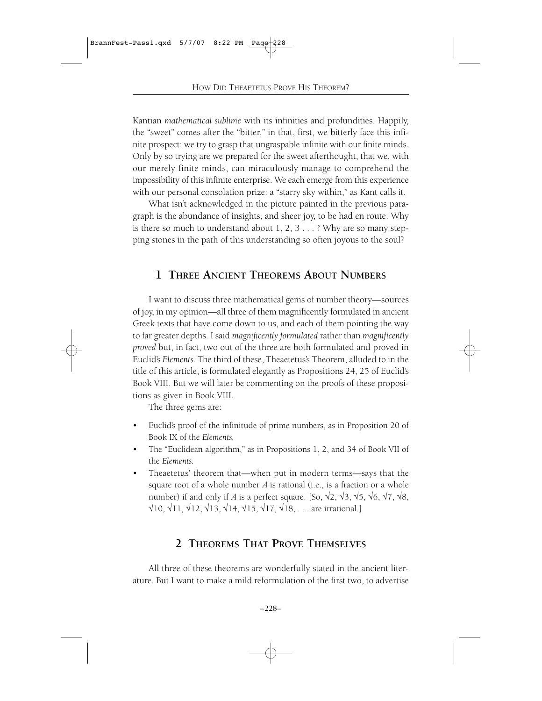Kantian *mathematical sublime* with its infinities and profundities. Happily, the "sweet" comes after the "bitter," in that, first, we bitterly face this infinite prospect: we try to grasp that ungraspable infinite with our finite minds. Only by so trying are we prepared for the sweet afterthought, that we, with our merely finite minds, can miraculously manage to comprehend the impossibility of this infinite enterprise. We each emerge from this experience with our personal consolation prize: a "starry sky within," as Kant calls it.

What isn't acknowledged in the picture painted in the previous paragraph is the abundance of insights, and sheer joy, to be had en route. Why is there so much to understand about 1, 2, 3 . . . ? Why are so many stepping stones in the path of this understanding so often joyous to the soul?

# **1 THREE ANCIENT THEOREMS ABOUT NUMBERS**

I want to discuss three mathematical gems of number theory—sources of joy, in my opinion—all three of them magnificently formulated in ancient Greek texts that have come down to us, and each of them pointing the way to far greater depths. I said *magnificently formulated* rather than *magnificently proved* but, in fact, two out of the three are both formulated and proved in Euclid's *Elements.* The third of these, Theaetetus's Theorem, alluded to in the title of this article, is formulated elegantly as Propositions 24, 25 of Euclid's Book VIII. But we will later be commenting on the proofs of these propositions as given in Book VIII.

The three gems are:

- Euclid's proof of the infinitude of prime numbers, as in Proposition 20 of Book IX of the *Elements.*
- The "Euclidean algorithm," as in Propositions 1, 2, and 34 of Book VII of the *Elements.*
- Theaetetus' theorem that—when put in modern terms—says that the square root of a whole number *<sup>A</sup>* is rational (i.e., is a fraction or a whole number) if and only if *A* is a perfect square. [So,  $\sqrt{2}$ ,  $\sqrt{3}$ ,  $\sqrt{5}$ ,  $\sqrt{6}$ ,  $\sqrt{7}$ ,  $\sqrt{8}$ ,  $\sqrt{10}$ ,  $\sqrt{11}$ ,  $\sqrt{12}$ ,  $\sqrt{13}$ ,  $\sqrt{14}$ ,  $\sqrt{15}$ ,  $\sqrt{17}$ ,  $\sqrt{18}$ , . . . are irrational.]

### **2 THEOREMS THAT PROVE THEMSELVES**

All three of these theorems are wonderfully stated in the ancient literature. But I want to make a mild reformulation of the first two, to advertise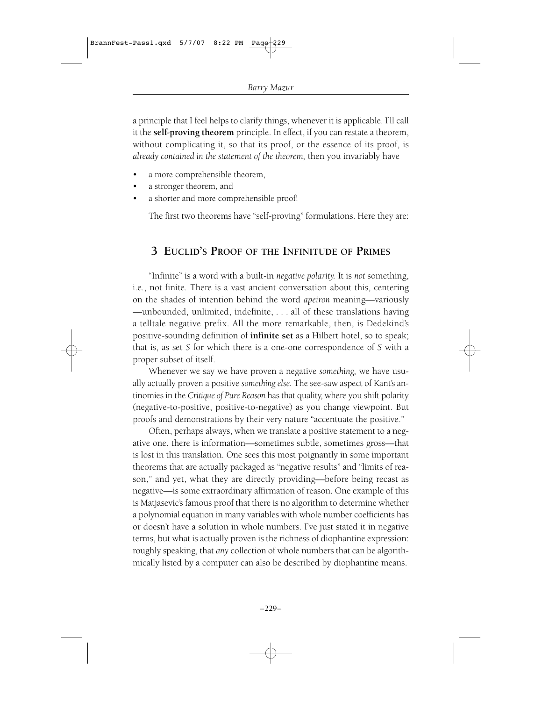a principle that I feel helps to clarify things, whenever it is applicable. I'll call it the **self-proving theorem** principle. In effect, if you can restate a theorem, without complicating it, so that its proof, or the essence of its proof, is *already contained in the statement of the theorem,* then you invariably have

- a more comprehensible theorem,
- a stronger theorem, and
- a shorter and more comprehensible proof!

The first two theorems have "self-proving" formulations. Here they are:

# **3 EUCLID'S PROOF OF THE INFINITUDE OF PRIMES**

"Infinite" is a word with a built-in *negative polarity.* It is *not* something, i.e., not finite. There is a vast ancient conversation about this, centering on the shades of intention behind the word *apeiron* meaning—variously —unbounded, unlimited, indefinite, . . . all of these translations having a telltale negative prefix. All the more remarkable, then, is Dedekind's positive-sounding definition of **infinite set** as a Hilbert hotel, so to speak; that is, as set *S* for which there is a one-one correspondence of *S* with a proper subset of itself.

Whenever we say we have proven a negative *something,* we have usually actually proven a positive *something else.* The see-saw aspect of Kant's antinomies in the *Critique of Pure Reason* has that quality, where you shift polarity (negative-to-positive, positive-to-negative) as you change viewpoint. But proofs and demonstrations by their very nature "accentuate the positive."

Often, perhaps always, when we translate a positive statement to a negative one, there is information—sometimes subtle, sometimes gross—that is lost in this translation. One sees this most poignantly in some important theorems that are actually packaged as "negative results" and "limits of reason," and yet, what they are directly providing—before being recast as negative—is some extraordinary affirmation of reason. One example of this is Matjasevic's famous proof that there is no algorithm to determine whether a polynomial equation in many variables with whole number coefficients has or doesn't have a solution in whole numbers. I've just stated it in negative terms, but what is actually proven is the richness of diophantine expression: roughly speaking, that *any* collection of whole numbers that can be algorithmically listed by a computer can also be described by diophantine means.

–229–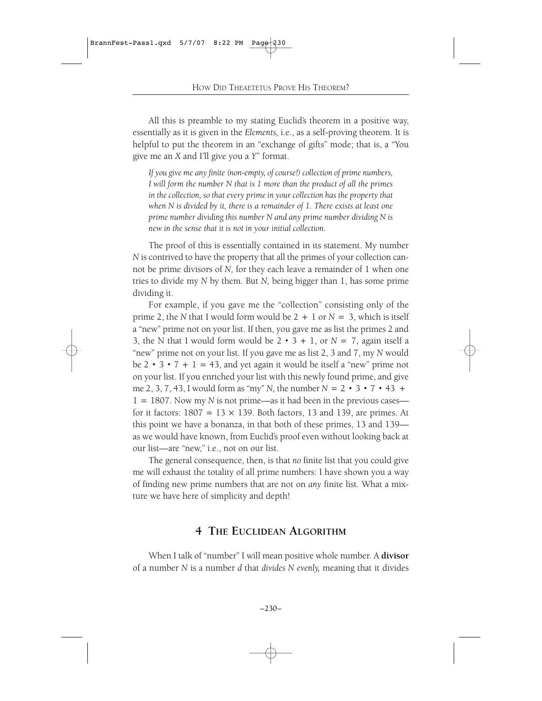All this is preamble to my stating Euclid's theorem in a positive way, essentially as it is given in the *Elements,* i.e., as a self-proving theorem. It is helpful to put the theorem in an "exchange of gifts" mode; that is, a "You give me an *X* and I'll give you a *Y*" format.

*If you give me any finite (non-empty, of course!) collection of prime numbers, I will form the number N that is 1 more than the product of all the primes in the collection, so that every prime in your collection has the property that when N is divided by it, there is a remainder of 1. There exists at least one prime number dividing this number N and any prime number dividing N is new in the sense that it is not in your initial collection.*

The proof of this is essentially contained in its statement. My number *N* is contrived to have the property that all the primes of your collection cannot be prime divisors of *N,* for they each leave a remainder of 1 when one tries to divide my *N* by them. But *N,* being bigger than 1, has some prime dividing it.

For example, if you gave me the "collection" consisting only of the prime 2, the *N* that I would form would be  $2 + 1$  or  $N = 3$ , which is itself a "new" prime not on your list. If then, you gave me as list the primes 2 and 3, the N that I would form would be  $2 \cdot 3 + 1$ , or  $N = 7$ , again itself a "new" prime not on your list. If you gave me as list 2, 3 and 7, my *N* would be  $2 \cdot 3 \cdot 7 + 1 = 43$ , and yet again it would be itself a "new" prime not on your list. If you enriched your list with this newly found prime, and give me 2, 3, 7, 43, I would form as "my" *N*, the number  $N = 2 \cdot 3 \cdot 7 \cdot 43 +$  $1=1807$ . Now my *N* is not prime—as it had been in the previous cases for it factors:  $1807 = 13 \times 139$ . Both factors, 13 and 139, are primes. At this point we have a bonanza, in that both of these primes, 13 and 139 as we would have known, from Euclid's proof even without looking back at our list—are "new," i.e., not on our list.

The general consequence, then, is that *no* finite list that you could give me will exhaust the totality of all prime numbers: I have shown you a way of finding new prime numbers that are not on *any* finite list. What a mixture we have here of simplicity and depth!

### **4 THE EUCLIDEAN ALGORITHM**

When I talk of "number" I will mean positive whole number. A **divisor** of a number *N* is a number *d* that *divides N evenly,* meaning that it divides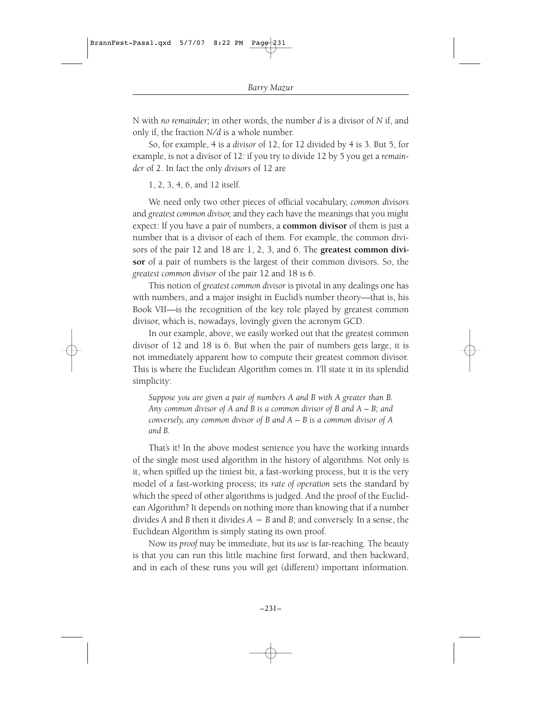N with *no remainder;* in other words, the number *d* is a divisor of *N* if, and only if, the fraction  $N/d$  is a whole number.

So, for example, 4 is a *divisor* of 12, for 12 divided by 4 is 3. But 5, for example, is not a divisor of 12: if you try to divide 12 by 5 you get a *remainder* of 2. In fact the only *divisors* of 12 are

1, 2, 3, 4, 6, and 12 itself.

We need only two other pieces of official vocabulary, *common divisors* and *greatest common divisor,* and they each have the meanings that you might expect: If you have a pair of numbers, a **common divisor** of them is just a number that is a divisor of each of them. For example, the common divisors of the pair 12 and 18 are 1, 2, 3, and 6. The **greatest common divisor** of a pair of numbers is the largest of their common divisors. So, the *greatest common divisor* of the pair 12 and 18 is 6.

This notion of *greatest common divisor* is pivotal in any dealings one has with numbers, and a major insight in Euclid's number theory—that is, his Book VII—is the recognition of the key role played by greatest common divisor, which is, nowadays, lovingly given the acronym GCD.

In our example, above, we easily worked out that the greatest common divisor of 12 and 18 is 6. But when the pair of numbers gets large, it is not immediately apparent how to compute their greatest common divisor. This is where the Euclidean Algorithm comes in. I'll state it in its splendid simplicity:

*Suppose you are given a pair of numbers A and B with A greater than B. Any common divisor of A and B is a common divisor of B and A* – *B; and conversely, any common divisor of B and A* – *B is a common divisor of A and B.*

That's it! In the above modest sentence you have the working innards of the single most used algorithm in the history of algorithms. Not only is it, when spiffed up the tiniest bit, a fast-working process, but it is the very model of a fast-working process; its *rate of operation* sets the standard by which the speed of other algorithms is judged. And the proof of the Euclidean Algorithm? It depends on nothing more than knowing that if a number divides *A* and *B* then it divides *A*-*B* and *B*; and conversely. In a sense, the Euclidean Algorithm is simply stating its own proof.

Now its *proof* may be immediate, but its *use* is far-reaching. The beauty is that you can run this little machine first forward, and then backward, and in each of these runs you will get (different) important information.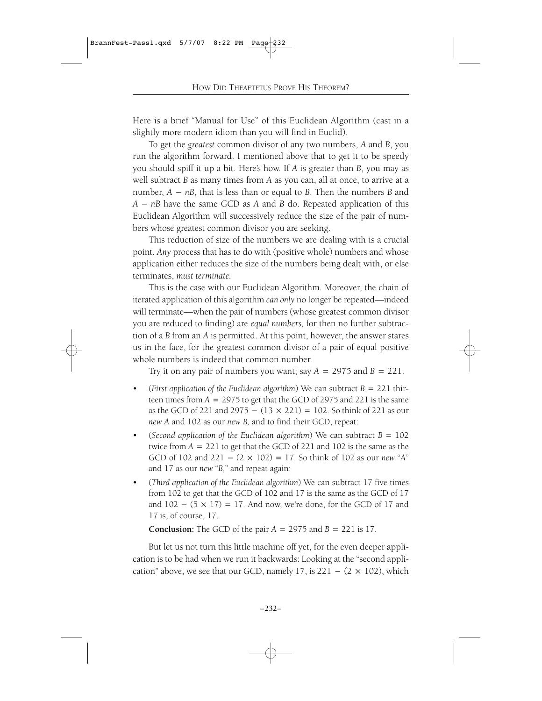Here is a brief "Manual for Use" of this Euclidean Algorithm (cast in a slightly more modern idiom than you will find in Euclid).

To get the *greatest* common divisor of any two numbers, *A* and *B*, you run the algorithm forward. I mentioned above that to get it to be speedy you should spiff it up a bit. Here's how. If *A* is greater than *B*, you may as well subtract *B* as many times from *A* as you can, all at once, to arrive at a number, *A*-*nB*, that is less than or equal to *B*. Then the numbers *B* and *A*-*nB* have the same GCD as *A* and *B* do. Repeated application of this Euclidean Algorithm will successively reduce the size of the pair of numbers whose greatest common divisor you are seeking.

This reduction of size of the numbers we are dealing with is a crucial point. *Any* process that has to do with (positive whole) numbers and whose application either reduces the size of the numbers being dealt with, or else terminates, *must terminate.*

This is the case with our Euclidean Algorithm. Moreover, the chain of iterated application of this algorithm *can only* no longer be repeated—indeed will terminate—when the pair of numbers (whose greatest common divisor you are reduced to finding) are *equal numbers,* for then no further subtraction of a *B* from an *A* is permitted. At this point, however, the answer stares us in the face, for the greatest common divisor of a pair of equal positive whole numbers is indeed that common number.

Try it on any pair of numbers you want; say  $A = 2975$  and  $B = 221$ .

- (*First application of the Euclidean algorithm*) We can subtract *B*=221 thirteen times from *A*=2975 to get that the GCD of 2975 and 221 is the same as the GCD of 221 and 2975 -  $(13 \times 221) = 102$ . So think of 221 as our *new A* and 102 as our *new B,* and to find their GCD, repeat:
- (*Second application of the Euclidean algorithm*) We can subtract  $B = 102$ twice from *A*=221 to get that the GCD of 221 and 102 is the same as the GCD of 102 and  $221 - (2 \times 102) = 17$ . So think of 102 as our *new* "*A*" and 17 as our *new* "*B,*" and repeat again:
- (*Third application of the Euclidean algorithm*) We can subtract 17 five times from 102 to get that the GCD of 102 and 17 is the same as the GCD of 17 and  $102 - (5 \times 17) = 17$ . And now, we're done, for the GCD of 17 and 17 is, of course, 17.

**Conclusion:** The GCD of the pair  $A = 2975$  and  $B = 221$  is 17.

But let us not turn this little machine off yet, for the even deeper application is to be had when we run it backwards: Looking at the "second application" above, we see that our GCD, namely 17, is  $221 - (2 \times 102)$ , which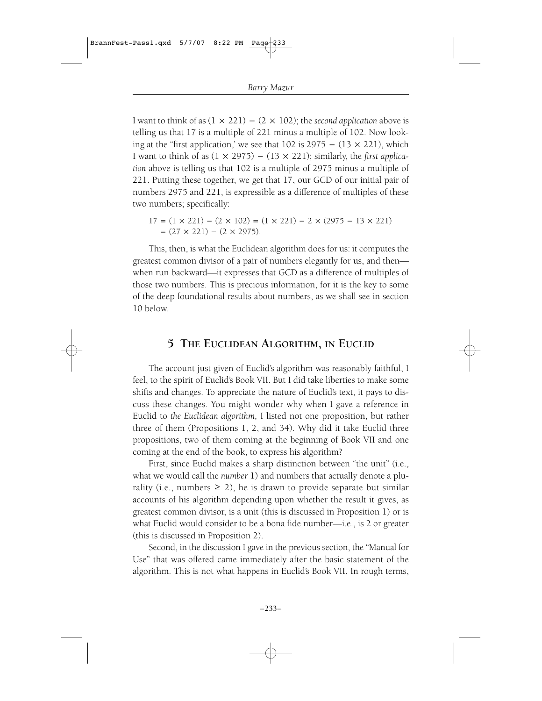I want to think of as  $(1 \times 221) - (2 \times 102)$ ; the *second application* above is telling us that 17 is a multiple of 221 minus a multiple of 102. Now looking at the "first application,' we see that 102 is  $2975 - (13 \times 221)$ , which I want to think of as  $(1 \times 2975) - (13 \times 221)$ ; similarly, the *first application* above is telling us that 102 is a multiple of 2975 minus a multiple of 221. Putting these together, we get that 17, our GCD of our initial pair of numbers 2975 and 221, is expressible as a difference of multiples of these two numbers; specifically:

 $17 = (1 \times 221) - (2 \times 102) = (1 \times 221) - 2 \times (2975 - 13 \times 221)$  $=(27 \times 221) - (2 \times 2975).$ 

This, then, is what the Euclidean algorithm does for us: it computes the greatest common divisor of a pair of numbers elegantly for us, and then when run backward—it expresses that GCD as a difference of multiples of those two numbers. This is precious information, for it is the key to some of the deep foundational results about numbers, as we shall see in section 10 below.

### **5 THE EUCLIDEAN ALGORITHM, IN EUCLID**

The account just given of Euclid's algorithm was reasonably faithful, I feel, to the spirit of Euclid's Book VII. But I did take liberties to make some shifts and changes. To appreciate the nature of Euclid's text, it pays to discuss these changes. You might wonder why when I gave a reference in Euclid to *the Euclidean algorithm,* I listed not one proposition, but rather three of them (Propositions 1, 2, and 34). Why did it take Euclid three propositions, two of them coming at the beginning of Book VII and one coming at the end of the book, to express his algorithm?

First, since Euclid makes a sharp distinction between "the unit" (i.e., what we would call the *number* 1) and numbers that actually denote a plurality (i.e., numbers  $\geq$  2), he is drawn to provide separate but similar accounts of his algorithm depending upon whether the result it gives, as greatest common divisor, is a unit (this is discussed in Proposition 1) or is what Euclid would consider to be a bona fide number—i.e., is 2 or greater (this is discussed in Proposition 2).

Second, in the discussion I gave in the previous section, the "Manual for Use" that was offered came immediately after the basic statement of the algorithm. This is not what happens in Euclid's Book VII. In rough terms,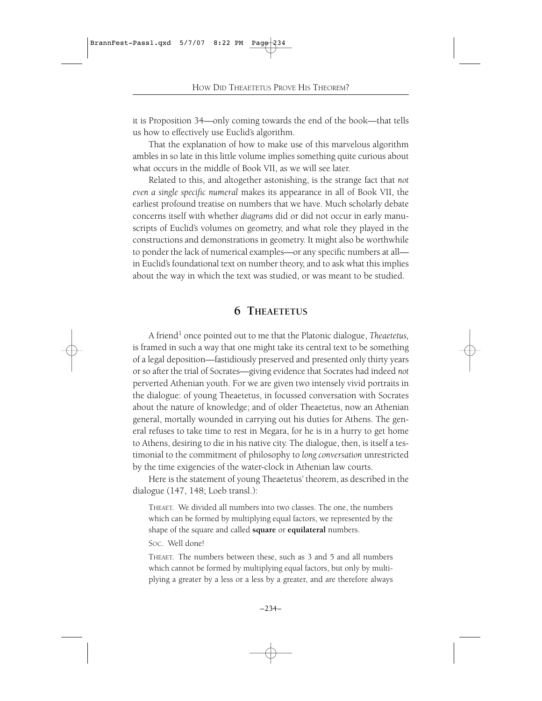it is Proposition 34—only coming towards the end of the book—that tells us how to effectively use Euclid's algorithm.

That the explanation of how to make use of this marvelous algorithm ambles in so late in this little volume implies something quite curious about what occurs in the middle of Book VII, as we will see later.

Related to this, and altogether astonishing, is the strange fact that *not even a single specific numeral* makes its appearance in all of Book VII, the earliest profound treatise on numbers that we have. Much scholarly debate concerns itself with whether *diagrams* did or did not occur in early manuscripts of Euclid's volumes on geometry, and what role they played in the constructions and demonstrations in geometry. It might also be worthwhile to ponder the lack of numerical examples—or any specific numbers at all in Euclid's foundational text on number theory, and to ask what this implies about the way in which the text was studied, or was meant to be studied.

### **6 THEAETETUS**

A friend<sup>1</sup> once pointed out to me that the Platonic dialogue, *Theaetetus*, is framed in such a way that one might take its central text to be something of a legal deposition—fastidiously preserved and presented only thirty years or so after the trial of Socrates—giving evidence that Socrates had indeed *not* perverted Athenian youth. For we are given two intensely vivid portraits in the dialogue: of young Theaetetus, in focussed conversation with Socrates about the nature of knowledge; and of older Theaetetus, now an Athenian general, mortally wounded in carrying out his duties for Athens. The general refuses to take time to rest in Megara, for he is in a hurry to get home to Athens, desiring to die in his native city. The dialogue, then, is itself a testimonial to the commitment of philosophy to *long conversation* unrestricted by the time exigencies of the water-clock in Athenian law courts.

Here is the statement of young Theaetetus' theorem, as described in the dialogue (147, 148; Loeb transl.):

THEAET. We divided all numbers into two classes. The one, the numbers which can be formed by multiplying equal factors, we represented by the shape of the square and called **square** or **equilateral** numbers.

SOC. Well done!

THEAET. The numbers between these, such as 3 and 5 and all numbers which cannot be formed by multiplying equal factors, but only by multiplying a greater by a less or a less by a greater, and are therefore always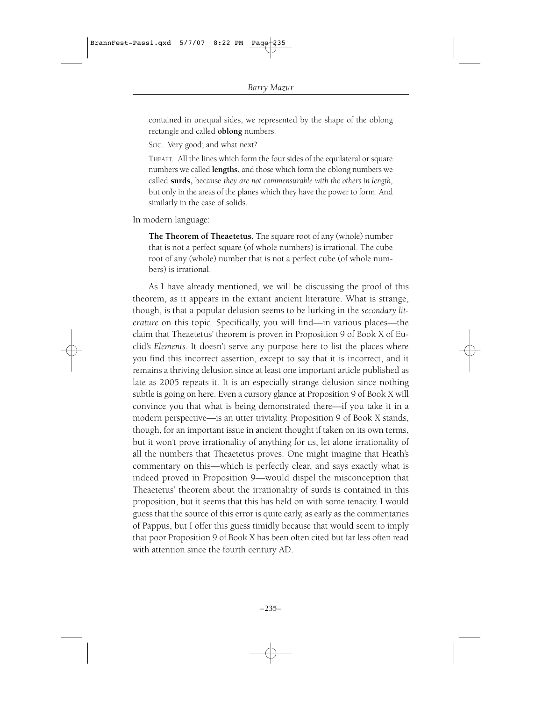contained in unequal sides, we represented by the shape of the oblong rectangle and called **oblong** numbers.

SOC. Very good; and what next?

THEAET. All the lines which form the four sides of the equilateral or square numbers we called **lengths,** and those which form the oblong numbers we called **surds,** because *they are not commensurable with the others in length,* but only in the areas of the planes which they have the power to form. And similarly in the case of solids.

In modern language:

**The Theorem of Theaetetus.** The square root of any (whole) number that is not a perfect square (of whole numbers) is irrational. The cube root of any (whole) number that is not a perfect cube (of whole numbers) is irrational.

As I have already mentioned, we will be discussing the proof of this theorem, as it appears in the extant ancient literature. What is strange, though, is that a popular delusion seems to be lurking in the *secondary literature* on this topic. Specifically, you will find—in various places—the claim that Theaetetus' theorem is proven in Proposition 9 of Book X of Euclid's *Elements.* It doesn't serve any purpose here to list the places where you find this incorrect assertion, except to say that it is incorrect, and it remains a thriving delusion since at least one important article published as late as 2005 repeats it. It is an especially strange delusion since nothing subtle is going on here. Even a cursory glance at Proposition 9 of Book X will convince you that what is being demonstrated there—if you take it in a modern perspective—is an utter triviality. Proposition 9 of Book X stands, though, for an important issue in ancient thought if taken on its own terms, but it won't prove irrationality of anything for us, let alone irrationality of all the numbers that Theaetetus proves. One might imagine that Heath's commentary on this—which is perfectly clear, and says exactly what is indeed proved in Proposition 9—would dispel the misconception that Theaetetus' theorem about the irrationality of surds is contained in this proposition, but it seems that this has held on with some tenacity. I would guess that the source of this error is quite early, as early as the commentaries of Pappus, but I offer this guess timidly because that would seem to imply that poor Proposition 9 of Book X has been often cited but far less often read with attention since the fourth century AD.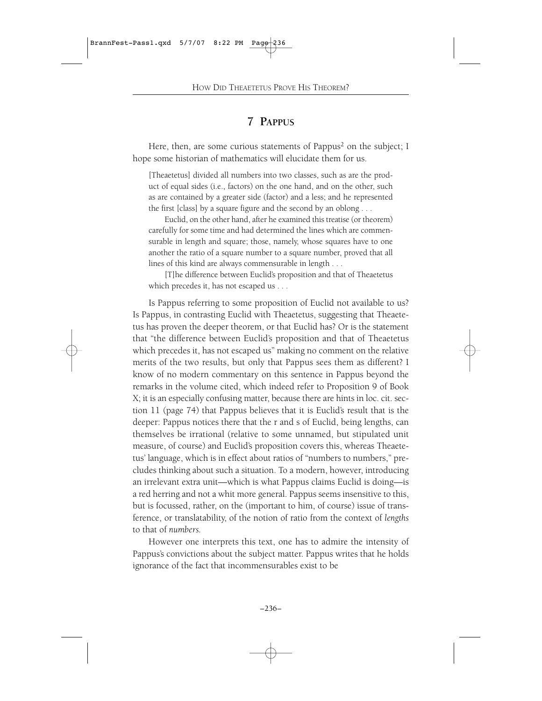# **7 PAPPUS**

Here, then, are some curious statements of Pappus<sup>2</sup> on the subject; I hope some historian of mathematics will elucidate them for us.

[Theaetetus] divided all numbers into two classes, such as are the product of equal sides (i.e., factors) on the one hand, and on the other, such as are contained by a greater side (factor) and a less; and he represented the first [class] by a square figure and the second by an oblong . . .

Euclid, on the other hand, after he examined this treatise (or theorem) carefully for some time and had determined the lines which are commensurable in length and square; those, namely, whose squares have to one another the ratio of a square number to a square number, proved that all lines of this kind are always commensurable in length . . .

[T]he difference between Euclid's proposition and that of Theaetetus which precedes it, has not escaped us . . .

Is Pappus referring to some proposition of Euclid not available to us? Is Pappus, in contrasting Euclid with Theaetetus, suggesting that Theaetetus has proven the deeper theorem, or that Euclid has? Or is the statement that "the difference between Euclid's proposition and that of Theaetetus which precedes it, has not escaped us" making no comment on the relative merits of the two results, but only that Pappus sees them as different? I know of no modern commentary on this sentence in Pappus beyond the remarks in the volume cited, which indeed refer to Proposition 9 of Book X; it is an especially confusing matter, because there are hints in loc. cit. section 11 (page 74) that Pappus believes that it is Euclid's result that is the deeper: Pappus notices there that the r and s of Euclid, being lengths, can themselves be irrational (relative to some unnamed, but stipulated unit measure, of course) and Euclid's proposition covers this, whereas Theaetetus' language, which is in effect about ratios of "numbers to numbers," precludes thinking about such a situation. To a modern, however, introducing an irrelevant extra unit—which is what Pappus claims Euclid is doing—is a red herring and not a whit more general. Pappus seems insensitive to this, but is focussed, rather, on the (important to him, of course) issue of transference, or translatability, of the notion of ratio from the context of *lengths* to that of *numbers.*

However one interprets this text, one has to admire the intensity of Pappus's convictions about the subject matter. Pappus writes that he holds ignorance of the fact that incommensurables exist to be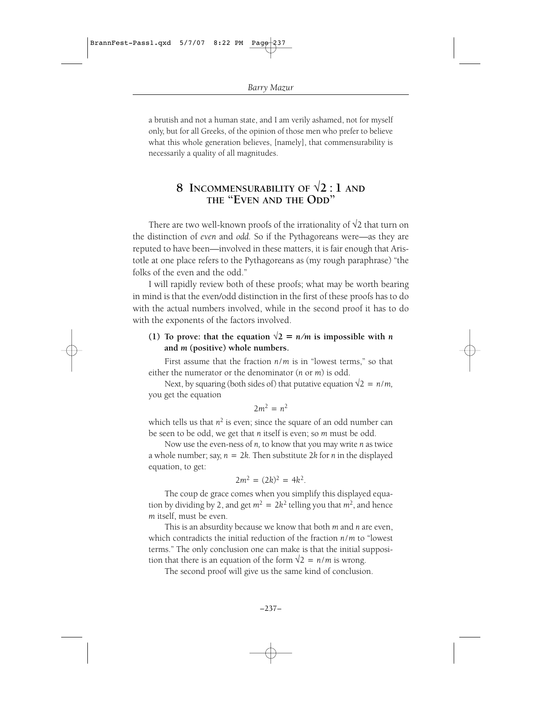a brutish and not a human state, and I am verily ashamed, not for myself only, but for all Greeks, of the opinion of those men who prefer to believe what this whole generation believes, [namely], that commensurability is necessarily a quality of all magnitudes.

# **8 INCOMMENSURABILITY** OF  $\sqrt{2}$  : **1** AND **THE "EVEN AND THE ODD"**

There are two well-known proofs of the irrationality of  $\sqrt{2}$  that turn on the distinction of *even* and *odd.* So if the Pythagoreans were—as they are reputed to have been—involved in these matters, it is fair enough that Aristotle at one place refers to the Pythagoreans as (my rough paraphrase) "the folks of the even and the odd."

I will rapidly review both of these proofs; what may be worth bearing in mind is that the even/odd distinction in the first of these proofs has to do with the actual numbers involved, while in the second proof it has to do with the exponents of the factors involved.

### (1) To prove: that the equation  $\sqrt{2} = n/m$  is impossible with *n* **and** *m* **(positive) whole numbers.**

First assume that the fraction *n*/*m* is in "lowest terms," so that either the numerator or the denominator (*n* or *m*) is odd.

Next, by squaring (both sides of) that putative equation  $\sqrt{2} = n/m$ , you get the equation

$$
2m^2 = n^2
$$

which tells us that  $n^2$  is even; since the square of an odd number can be seen to be odd, we get that *n* itself is even; so *m* must be odd.

Now use the even-ness of *n,* to know that you may write *n* as twice a whole number; say, *n*=2*k.* Then substitute 2*k* for *n* in the displayed equation, to get:

$$
2m^2 = (2k)^2 = 4k^2.
$$

The coup de grace comes when you simplify this displayed equation by dividing by 2, and get  $m^2 = 2k^2$  telling you that  $m^2$ , and hence *m* itself, must be even.

This is an absurdity because we know that both *m* and *n* are even, which contradicts the initial reduction of the fraction *n*/*m* to "lowest terms." The only conclusion one can make is that the initial supposition that there is an equation of the form  $\sqrt{2} = n/m$  is wrong.

The second proof will give us the same kind of conclusion.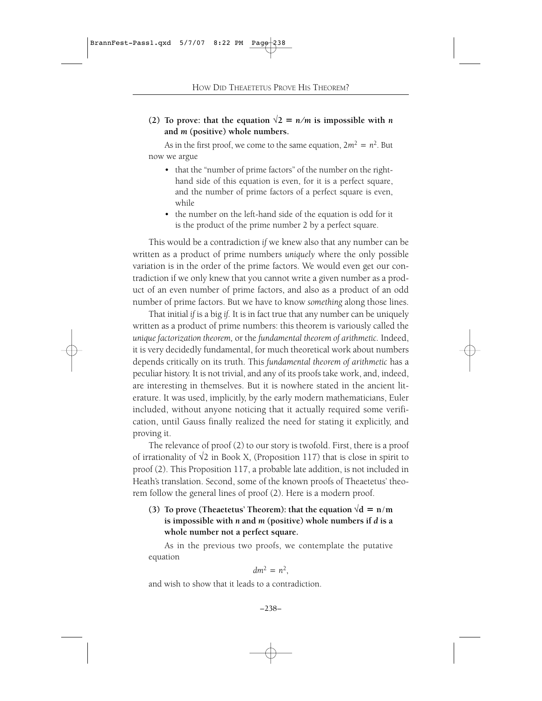(2) To prove: that the equation  $\sqrt{2} = n/m$  is impossible with *n* **and** *m* **(positive) whole numbers.**

As in the first proof, we come to the same equation,  $2m^2 = n^2$ . But now we argue

- that the "number of prime factors" of the number on the righthand side of this equation is even, for it is a perfect square, and the number of prime factors of a perfect square is even, while
- the number on the left-hand side of the equation is odd for it is the product of the prime number 2 by a perfect square.

This would be a contradiction *if* we knew also that any number can be written as a product of prime numbers *uniquely* where the only possible variation is in the order of the prime factors. We would even get our contradiction if we only knew that you cannot write a given number as a product of an even number of prime factors, and also as a product of an odd number of prime factors. But we have to know *something* along those lines.

That initial *if* is a big *if.* It is in fact true that any number can be uniquely written as a product of prime numbers: this theorem is variously called the *unique factorization theorem,* or the *fundamental theorem of arithmetic.* Indeed, it is very decidedly fundamental, for much theoretical work about numbers depends critically on its truth. This *fundamental theorem of arithmetic* has a peculiar history. It is not trivial, and any of its proofs take work, and, indeed, are interesting in themselves. But it is nowhere stated in the ancient literature. It was used, implicitly, by the early modern mathematicians, Euler included, without anyone noticing that it actually required some verification, until Gauss finally realized the need for stating it explicitly, and proving it.

The relevance of proof (2) to our story is twofold. First, there is a proof of irrationality of  $\sqrt{2}$  in Book X, (Proposition 117) that is close in spirit to proof (2). This Proposition 117, a probable late addition, is not included in Heath's translation. Second, some of the known proofs of Theaetetus' theorem follow the general lines of proof (2). Here is a modern proof.

### **(3) To prove (Theaetetus' Theorem): that the equation**  $\sqrt{d} = n/m$ **is impossible with** *n* **and** *m* **(positive) whole numbers if** *d* **is a whole number not a perfect square.**

As in the previous two proofs, we contemplate the putative equation

$$
dm^2=n^2,
$$

and wish to show that it leads to a contradiction.

$$
-238-
$$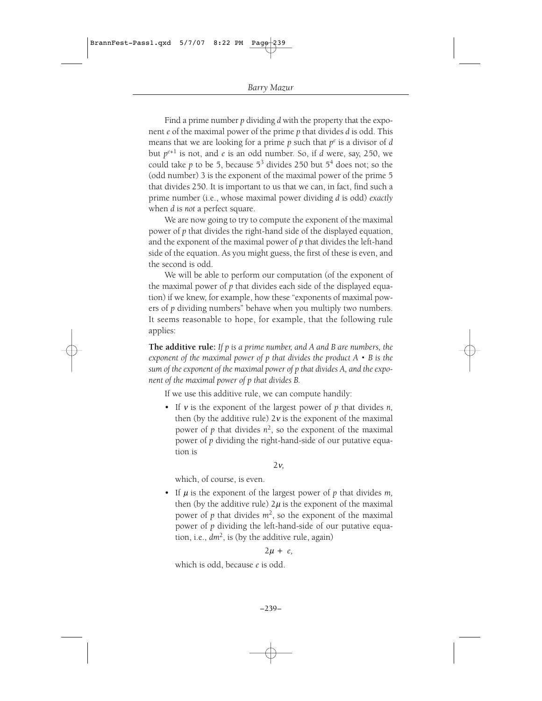Find a prime number *p* dividing *d* with the property that the exponent *e* of the maximal power of the prime *p* that divides *d* is odd. This means that we are looking for a prime *p* such that *pe* is a divisor of *d* but  $p^{e+1}$  is not, and *e* is an odd number. So, if *d* were, say, 250, we could take  $p$  to be 5, because  $5^3$  divides 250 but  $5^4$  does not; so the (odd number) 3 is the exponent of the maximal power of the prime 5 that divides 250. It is important to us that we can, in fact, find such a prime number (i.e., whose maximal power dividing *d* is odd) *exactly* when *d* is *not* a perfect square.

We are now going to try to compute the exponent of the maximal power of *p* that divides the right-hand side of the displayed equation, and the exponent of the maximal power of *p* that divides the left-hand side of the equation. As you might guess, the first of these is even, and the second is odd.

We will be able to perform our computation (of the exponent of the maximal power of *p* that divides each side of the displayed equation) if we knew, for example, how these "exponents of maximal powers of *p* dividing numbers" behave when you multiply two numbers. It seems reasonable to hope, for example, that the following rule applies:

**The additive rule:** *If p is a prime number, and A and B are numbers, the exponent of the maximal power of p that divides the product A*†*B is the sum of the exponent of the maximal power of p that divides A, and the exponent of the maximal power of p that divides B.*

If we use this additive rule, we can compute handily:

• If  $v$  is the exponent of the largest power of  $p$  that divides  $n$ , then (by the additive rule)  $2v$  is the exponent of the maximal power of *p* that divides  $n^2$ , so the exponent of the maximal power of *p* dividing the right-hand-side of our putative equation is

 $2v$ 

which, of course, is even.

• If  $\mu$  is the exponent of the largest power of  $p$  that divides  $m$ , then (by the additive rule)  $2\mu$  is the exponent of the maximal power of  $p$  that divides  $m^2$ , so the exponent of the maximal power of *p* dividing the left-hand-side of our putative equation, i.e.,  $dm^2$ , is (by the additive rule, again)

#### $2\mu + e$

which is odd, because *e* is odd.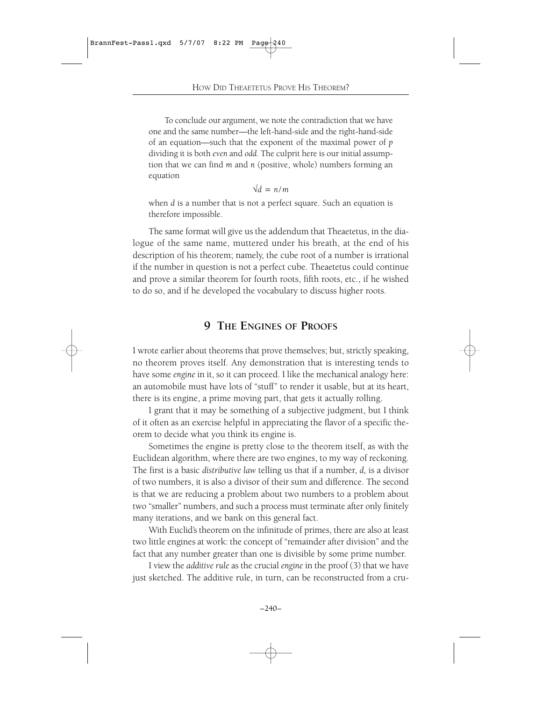To conclude our argument, we note the contradiction that we have one and the same number—the left-hand-side and the right-hand-side of an equation—such that the exponent of the maximal power of *p* dividing it is both *even* and *odd.* The culprit here is our initial assumption that we can find *m* and *n* (positive, whole) numbers forming an equation

 $\sqrt{d}$  = *n/m* 

when *d* is a number that is not a perfect square. Such an equation is therefore impossible.

The same format will give us the addendum that Theaetetus, in the dialogue of the same name, muttered under his breath, at the end of his description of his theorem; namely, the cube root of a number is irrational if the number in question is not a perfect cube. Theaetetus could continue and prove a similar theorem for fourth roots, fifth roots, etc., if he wished to do so, and if he developed the vocabulary to discuss higher roots.

# **9 THE ENGINES OF PROOFS**

I wrote earlier about theorems that prove themselves; but, strictly speaking, no theorem proves itself. Any demonstration that is interesting tends to have some *engine* in it, so it can proceed. I like the mechanical analogy here: an automobile must have lots of "stuff" to render it usable, but at its heart, there is its engine, a prime moving part, that gets it actually rolling.

I grant that it may be something of a subjective judgment, but I think of it often as an exercise helpful in appreciating the flavor of a specific theorem to decide what you think its engine is.

Sometimes the engine is pretty close to the theorem itself, as with the Euclidean algorithm, where there are two engines, to my way of reckoning. The first is a basic *distributive law* telling us that if a number, *d,* is a divisor of two numbers, it is also a divisor of their sum and difference. The second is that we are reducing a problem about two numbers to a problem about two "smaller" numbers, and such a process must terminate after only finitely many iterations, and we bank on this general fact.

With Euclid's theorem on the infinitude of primes, there are also at least two little engines at work: the concept of "remainder after division" and the fact that any number greater than one is divisible by some prime number.

I view the *additive rule* as the crucial *engine* in the proof (3) that we have just sketched. The additive rule, in turn, can be reconstructed from a cru-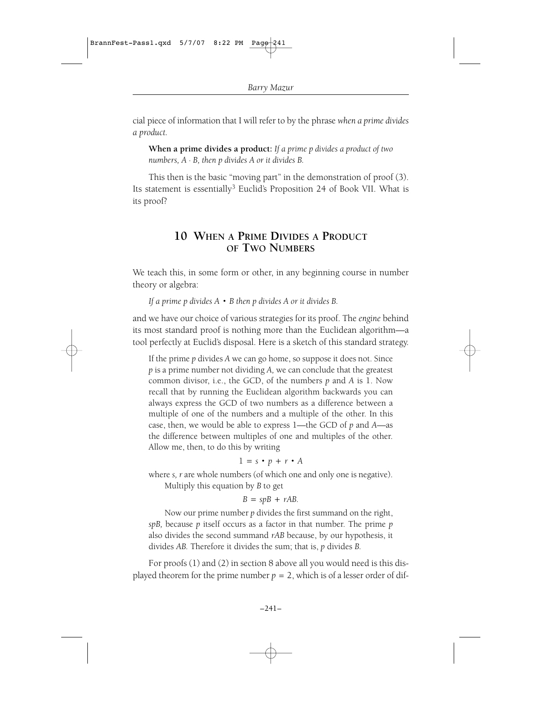cial piece of information that I will refer to by the phrase *when a prime divides a product.*

**When a prime divides a product:** *If a prime p divides a product of two numbers, A · B, then p divides A or it divides B.*

This then is the basic "moving part" in the demonstration of proof (3). Its statement is essentially<sup>3</sup> Euclid's Proposition 24 of Book VII. What is its proof?

# **10 WHEN A PRIME DIVIDES A PRODUCT OF TWO NUMBERS**

We teach this, in some form or other, in any beginning course in number theory or algebra:

*If a prime p divides A*†*B then p divides A or it divides B.*

and we have our choice of various strategies for its proof. The *engine* behind its most standard proof is nothing more than the Euclidean algorithm—a tool perfectly at Euclid's disposal. Here is a sketch of this standard strategy.

If the prime *p* divides *A* we can go home, so suppose it does not. Since *p* is a prime number not dividing *A,* we can conclude that the greatest common divisor, i.e., the GCD, of the numbers *p* and *A* is 1. Now recall that by running the Euclidean algorithm backwards you can always express the GCD of two numbers as a difference between a multiple of one of the numbers and a multiple of the other. In this case, then, we would be able to express 1—the GCD of *p* and *A*—as the difference between multiples of one and multiples of the other. Allow me, then, to do this by writing

#### $1 = s \cdot p + r \cdot A$

where *s, r* are whole numbers (of which one and only one is negative). Multiply this equation by *B* to get

#### $B = spB + rAB$ .

Now our prime number *p* divides the first summand on the right, *spB,* because *p* itself occurs as a factor in that number. The prime *p* also divides the second summand *rAB* because, by our hypothesis, it divides *AB.* Therefore it divides the sum; that is, *p* divides *B.*

For proofs (1) and (2) in section 8 above all you would need is this displayed theorem for the prime number  $p=2$ , which is of a lesser order of dif-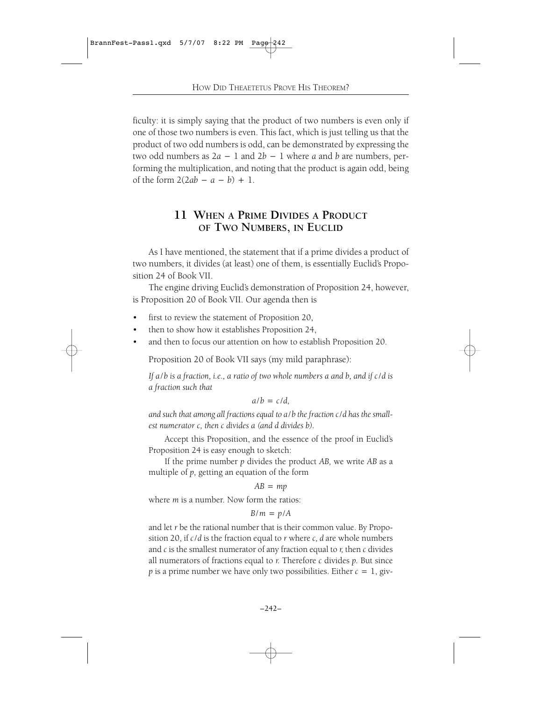ficulty: it is simply saying that the product of two numbers is even only if one of those two numbers is even. This fact, which is just telling us that the product of two odd numbers is odd, can be demonstrated by expressing the two odd numbers as  $2a - 1$  and  $2b - 1$  where *a* and *b* are numbers, performing the multiplication, and noting that the product is again odd, being of the form  $2(2ab - a - b) + 1$ .

# **11 WHEN A PRIME DIVIDES A PRODUCT OF TWO NUMBERS, IN EUCLID**

As I have mentioned, the statement that if a prime divides a product of two numbers, it divides (at least) one of them, is essentially Euclid's Proposition 24 of Book VII.

The engine driving Euclid's demonstration of Proposition 24, however, is Proposition 20 of Book VII. Our agenda then is

- first to review the statement of Proposition 20,
- then to show how it establishes Proposition 24,
- and then to focus our attention on how to establish Proposition 20.

Proposition 20 of Book VII says (my mild paraphrase):

*If a*/*b is a fraction, i.e., a ratio of two whole numbers a and b, and if c*/*d is a fraction such that*

 $a/b = c/d$ .

*and such that among all fractions equal to a*/*b the fraction c*/*d has the smallest numerator c, then c divides a (and d divides b).*

Accept this Proposition, and the essence of the proof in Euclid's Proposition 24 is easy enough to sketch:

If the prime number *p* divides the product *AB,* we write *AB* as a multiple of *p,* getting an equation of the form

*AB*=*mp*

where *m* is a number. Now form the ratios:

$$
B/m = p/A
$$

and let *r* be the rational number that is their common value. By Proposition 20, if *c*/*d* is the fraction equal to *r* where *c, d* are whole numbers and *c* is the smallest numerator of any fraction equal to *r,* then *c* divides all numerators of fractions equal to *r.* Therefore *c* divides *p.* But since *p* is a prime number we have only two possibilities. Either  $c=1$ , giv-

–242–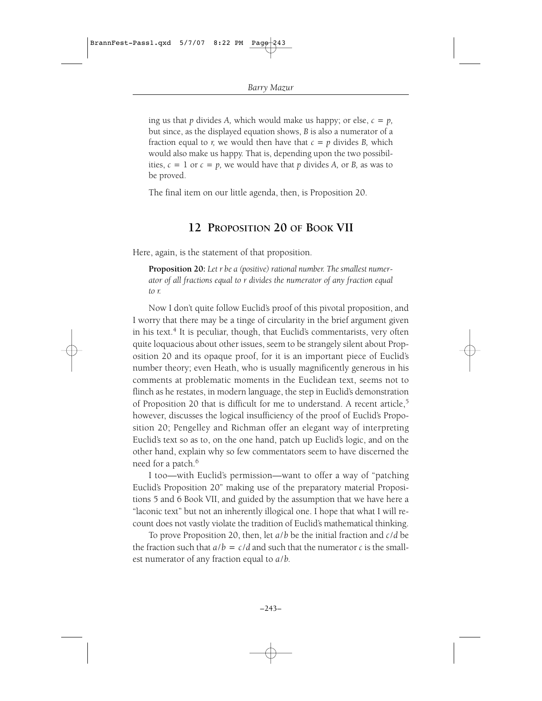ing us that *p* divides *A*, which would make us happy; or else,  $c = p$ , but since, as the displayed equation shows, *B* is also a numerator of a fraction equal to *r*, we would then have that  $c = p$  divides *B*, which would also make us happy. That is, depending upon the two possibilities,  $c=1$  or  $c=p$ , we would have that  $p$  divides  $A$ , or  $B$ , as was to be proved.

The final item on our little agenda, then, is Proposition 20.

### **12 PROPOSITION 20 OF BOOK VII**

Here, again, is the statement of that proposition.

**Proposition 20:** *Let r be a (positive) rational number. The smallest numerator of all fractions equal to r divides the numerator of any fraction equal to r.*

Now I don't quite follow Euclid's proof of this pivotal proposition, and I worry that there may be a tinge of circularity in the brief argument given in his text.<sup>4</sup> It is peculiar, though, that Euclid's commentarists, very often quite loquacious about other issues, seem to be strangely silent about Proposition 20 and its opaque proof, for it is an important piece of Euclid's number theory; even Heath, who is usually magnificently generous in his comments at problematic moments in the Euclidean text, seems not to flinch as he restates, in modern language, the step in Euclid's demonstration of Proposition 20 that is difficult for me to understand. A recent article,<sup>5</sup> however, discusses the logical insufficiency of the proof of Euclid's Proposition 20; Pengelley and Richman offer an elegant way of interpreting Euclid's text so as to, on the one hand, patch up Euclid's logic, and on the other hand, explain why so few commentators seem to have discerned the need for a patch.<sup>6</sup>

I too—with Euclid's permission—want to offer a way of "patching Euclid's Proposition 20" making use of the preparatory material Propositions 5 and 6 Book VII, and guided by the assumption that we have here a "laconic text" but not an inherently illogical one. I hope that what I will recount does not vastly violate the tradition of Euclid's mathematical thinking.

To prove Proposition 20, then, let *a*/*b* be the initial fraction and *c*/*d* be the fraction such that  $a/b = c/d$  and such that the numerator *c* is the smallest numerator of any fraction equal to *a*/*b.*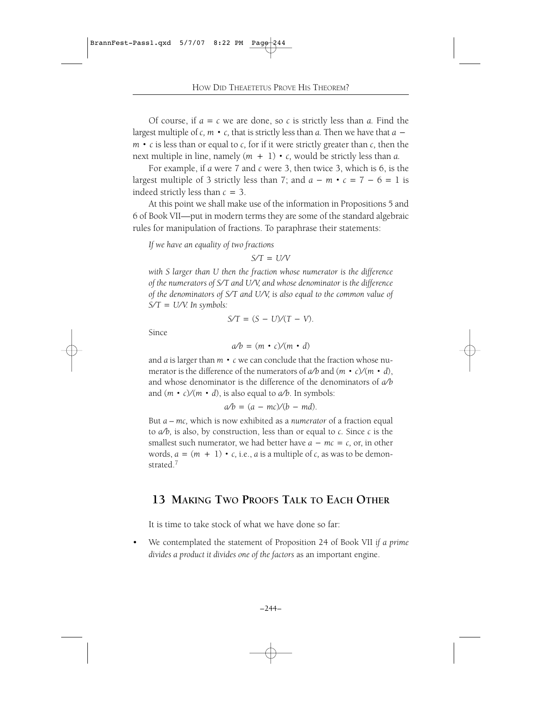Of course, if  $a = c$  we are done, so  $c$  is strictly less than  $a$ . Find the largest multiple of *c*,  $m \cdot c$ , that is strictly less than *a*. Then we have that  $a$  $m \cdot c$  is less than or equal to  $c$ , for if it were strictly greater than  $c$ , then the next multiple in line, namely  $(m + 1) \cdot c$ , would be strictly less than *a*.

For example, if *a* were 7 and *c* were 3, then twice 3, which is 6, is the largest multiple of 3 strictly less than 7; and  $a - m \cdot c = 7 - 6 = 1$  is indeed strictly less than *c*=3.

At this point we shall make use of the information in Propositions 5 and 6 of Book VII—put in modern terms they are some of the standard algebraic rules for manipulation of fractions. To paraphrase their statements:

*If we have an equality of two fractions*

*S*§*T*=*U*§*V*

*with S larger than U then the fraction whose numerator is the difference of the numerators of S/T and U/V, and whose denominator is the difference of the denominators of S*§*T and U*§*V, is also equal to the common value of S*§*T*=*U*§*V. In symbols:*

$$
S/T = (S - U)/(T - V)
$$
.

Since

$$
a/b = (m \cdot c)/(m \cdot d)
$$

and *a* is larger than  $m \cdot c$  we can conclude that the fraction whose numerator is the difference of the numerators of  $a/b$  and  $(m \cdot c)/(m \cdot d)$ , and whose denominator is the difference of the denominators of  $a/b$ and  $(m \cdot c)/(m \cdot d)$ , is also equal to  $a/b$ . In symbols:

 $a/b = (a - mc)/(b - md)$ .

But *a – mc,* which is now exhibited as a *numerator* of a fraction equal to  $a/b$ , is also, by construction, less than or equal to  $c$ . Since  $c$  is the smallest such numerator, we had better have  $a - mc = c$ , or, in other words,  $a = (m + 1) \cdot c$ , i.e., *a* is a multiple of *c*, as was to be demonstrated.<sup>7</sup>

### **13 MAKING TWO PROOFS TALK TO EACH OTHER**

It is time to take stock of what we have done so far:

• We contemplated the statement of Proposition 24 of Book VII *if a prime divides a product it divides one of the factors* as an important engine.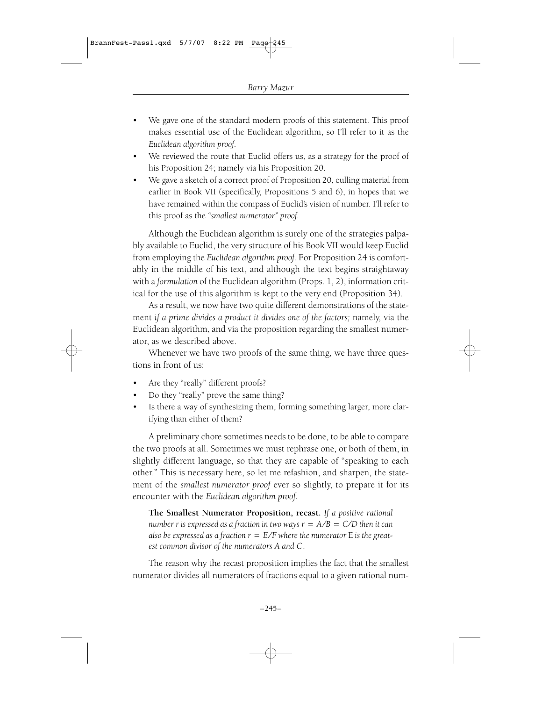- We gave one of the standard modern proofs of this statement. This proof makes essential use of the Euclidean algorithm, so I'll refer to it as the *Euclidean algorithm proof.*
- We reviewed the route that Euclid offers us, as a strategy for the proof of his Proposition 24; namely via his Proposition 20.
- We gave a sketch of a correct proof of Proposition 20, culling material from earlier in Book VII (specifically, Propositions 5 and 6), in hopes that we have remained within the compass of Euclid's vision of number. I'll refer to this proof as the *"smallest numerator" proof.*

Although the Euclidean algorithm is surely one of the strategies palpably available to Euclid, the very structure of his Book VII would keep Euclid from employing the *Euclidean algorithm proof.* For Proposition 24 is comfortably in the middle of his text, and although the text begins straightaway with a *formulation* of the Euclidean algorithm (Props. 1, 2), information critical for the use of this algorithm is kept to the very end (Proposition 34).

As a result, we now have two quite different demonstrations of the statement *if a prime divides a product it divides one of the factors;* namely, via the Euclidean algorithm, and via the proposition regarding the smallest numerator, as we described above.

Whenever we have two proofs of the same thing, we have three questions in front of us:

- Are they "really" different proofs?
- Do they "really" prove the same thing?
- Is there a way of synthesizing them, forming something larger, more clarifying than either of them?

A preliminary chore sometimes needs to be done, to be able to compare the two proofs at all. Sometimes we must rephrase one, or both of them, in slightly different language, so that they are capable of "speaking to each other." This is necessary here, so let me refashion, and sharpen, the statement of the *smallest numerator proof* ever so slightly, to prepare it for its encounter with the *Euclidean algorithm proof.*

**The Smallest Numerator Proposition, recast.** *If a positive rational number r* is expressed as a fraction in two ways  $r = A/B = C/D$  then it can *also be expressed as a fraction*  $r = E/F$  *where the numerator*  $E$  *is the greatest common divisor of the numerators A and C.*

The reason why the recast proposition implies the fact that the smallest numerator divides all numerators of fractions equal to a given rational num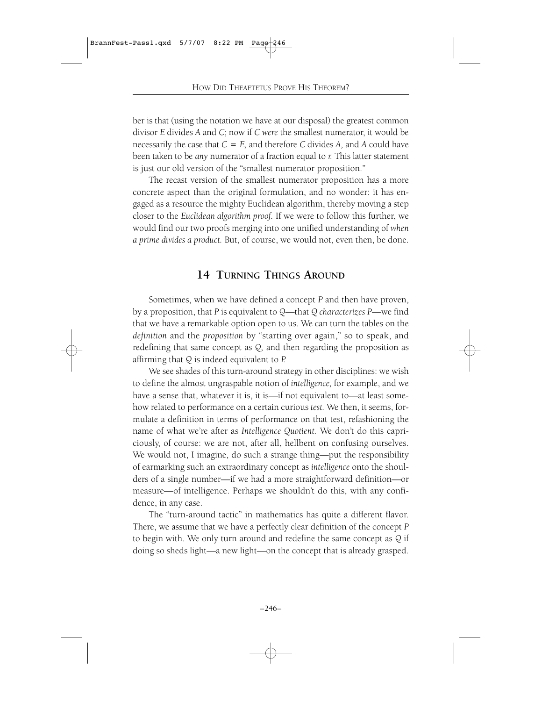ber is that (using the notation we have at our disposal) the greatest common divisor *E* divides *A* and *C*; now if *C were* the smallest numerator, it would be necessarily the case that  $C = E$ , and therefore *C* divides *A*, and *A* could have been taken to be *any* numerator of a fraction equal to *r.* This latter statement is just our old version of the "smallest numerator proposition."

The recast version of the smallest numerator proposition has a more concrete aspect than the original formulation, and no wonder: it has engaged as a resource the mighty Euclidean algorithm, thereby moving a step closer to the *Euclidean algorithm proof.* If we were to follow this further, we would find our two proofs merging into one unified understanding of *when a prime divides a product.* But, of course, we would not, even then, be done.

# **14 TURNING THINGS AROUND**

Sometimes, when we have defined a concept *P* and then have proven, by a proposition, that *P* is equivalent to *Q*—that *Q characterizes P*—we find that we have a remarkable option open to us. We can turn the tables on the *definition* and the *proposition* by "starting over again," so to speak, and redefining that same concept as *Q,* and then regarding the proposition as affirming that *Q* is indeed equivalent to *P.*

We see shades of this turn-around strategy in other disciplines: we wish to define the almost ungraspable notion of *intelligence,* for example, and we have a sense that, whatever it is, it is—if not equivalent to—at least somehow related to performance on a certain curious *test.* We then, it seems, formulate a definition in terms of performance on that test, refashioning the name of what we're after as *Intelligence Quotient.* We don't do this capriciously, of course: we are not, after all, hellbent on confusing ourselves. We would not, I imagine, do such a strange thing—put the responsibility of earmarking such an extraordinary concept as *intelligence* onto the shoulders of a single number—if we had a more straightforward definition—or measure—of intelligence. Perhaps we shouldn't do this, with any confidence, in any case.

The "turn-around tactic" in mathematics has quite a different flavor. There, we assume that we have a perfectly clear definition of the concept *P* to begin with. We only turn around and redefine the same concept as *Q* if doing so sheds light—a new light—on the concept that is already grasped.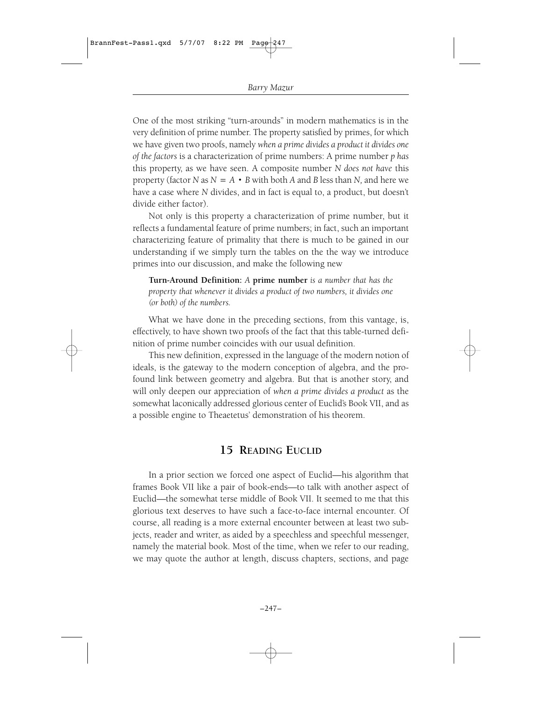One of the most striking "turn-arounds" in modern mathematics is in the very definition of prime number. The property satisfied by primes, for which we have given two proofs, namely *when a prime divides a product it divides one of the factors* is a characterization of prime numbers: A prime number *p has* this property, as we have seen. A composite number *N does not have* this property (factor *N* as  $N = A \cdot B$  with both *A* and *B* less than *N*, and here we have a case where *N* divides, and in fact is equal to, a product, but doesn't divide either factor).

Not only is this property a characterization of prime number, but it reflects a fundamental feature of prime numbers; in fact, such an important characterizing feature of primality that there is much to be gained in our understanding if we simply turn the tables on the the way we introduce primes into our discussion, and make the following new

**Turn-Around Definition:** *A* **prime number** *is a number that has the property that whenever it divides a product of two numbers, it divides one (or both) of the numbers.*

What we have done in the preceding sections, from this vantage, is, effectively, to have shown two proofs of the fact that this table-turned definition of prime number coincides with our usual definition.

This new definition, expressed in the language of the modern notion of ideals, is the gateway to the modern conception of algebra, and the profound link between geometry and algebra. But that is another story, and will only deepen our appreciation of *when a prime divides a product* as the somewhat laconically addressed glorious center of Euclid's Book VII, and as a possible engine to Theaetetus' demonstration of his theorem.

# **15 READING EUCLID**

In a prior section we forced one aspect of Euclid—his algorithm that frames Book VII like a pair of book-ends—to talk with another aspect of Euclid—the somewhat terse middle of Book VII. It seemed to me that this glorious text deserves to have such a face-to-face internal encounter. Of course, all reading is a more external encounter between at least two subjects, reader and writer, as aided by a speechless and speechful messenger, namely the material book. Most of the time, when we refer to our reading, we may quote the author at length, discuss chapters, sections, and page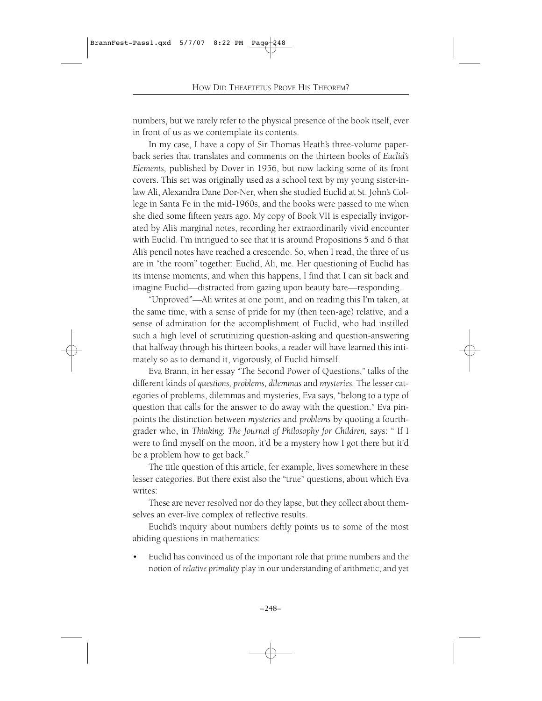numbers, but we rarely refer to the physical presence of the book itself, ever in front of us as we contemplate its contents.

In my case, I have a copy of Sir Thomas Heath's three-volume paperback series that translates and comments on the thirteen books of *Euclid's Elements,* published by Dover in 1956, but now lacking some of its front covers. This set was originally used as a school text by my young sister-inlaw Ali, Alexandra Dane Dor-Ner, when she studied Euclid at St. John's College in Santa Fe in the mid-1960s, and the books were passed to me when she died some fifteen years ago. My copy of Book VII is especially invigorated by Ali's marginal notes, recording her extraordinarily vivid encounter with Euclid. I'm intrigued to see that it is around Propositions 5 and 6 that Ali's pencil notes have reached a crescendo. So, when I read, the three of us are in "the room" together: Euclid, Ali, me. Her questioning of Euclid has its intense moments, and when this happens, I find that I can sit back and imagine Euclid—distracted from gazing upon beauty bare—responding.

"Unproved"—Ali writes at one point, and on reading this I'm taken, at the same time, with a sense of pride for my (then teen-age) relative, and a sense of admiration for the accomplishment of Euclid, who had instilled such a high level of scrutinizing question-asking and question-answering that halfway through his thirteen books, a reader will have learned this intimately so as to demand it, vigorously, of Euclid himself.

Eva Brann, in her essay "The Second Power of Questions," talks of the different kinds of *questions, problems, dilemmas* and *mysteries.* The lesser categories of problems, dilemmas and mysteries, Eva says, "belong to a type of question that calls for the answer to do away with the question." Eva pinpoints the distinction between *mysteries* and *problems* by quoting a fourthgrader who, in *Thinking: The Journal of Philosophy for Children,* says: " If I were to find myself on the moon, it'd be a mystery how I got there but it'd be a problem how to get back."

The title question of this article, for example, lives somewhere in these lesser categories. But there exist also the "true" questions, about which Eva writes:

These are never resolved nor do they lapse, but they collect about themselves an ever-live complex of reflective results.

Euclid's inquiry about numbers deftly points us to some of the most abiding questions in mathematics:

• Euclid has convinced us of the important role that prime numbers and the notion of *relative primality* play in our understanding of arithmetic, and yet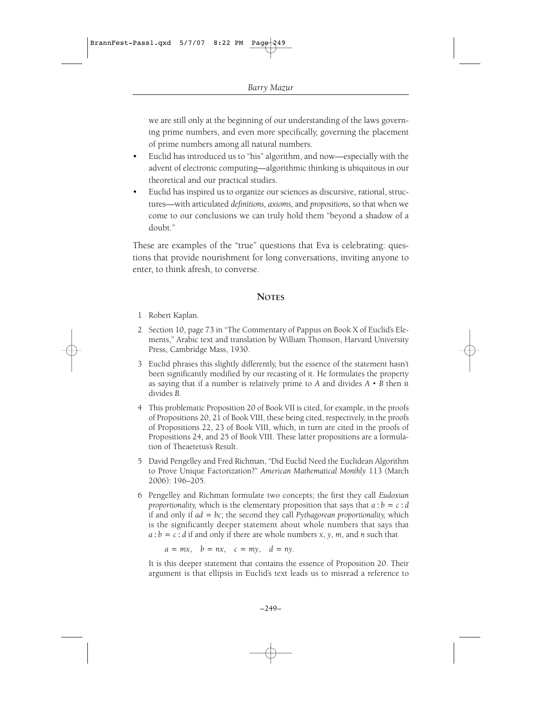we are still only at the beginning of our understanding of the laws governing prime numbers, and even more specifically, governing the placement of prime numbers among all natural numbers.

- Euclid has introduced us to "his" algorithm, and now—especially with the advent of electronic computing—algorithmic thinking is ubiquitous in our theoretical and our practical studies.
- Euclid has inspired us to organize our sciences as discursive, rational, structures—with articulated *definitions, axioms,* and *propositions,* so that when we come to our conclusions we can truly hold them "beyond a shadow of a doubt."

These are examples of the "true" questions that Eva is celebrating: questions that provide nourishment for long conversations, inviting anyone to enter, to think afresh, to converse.

#### **NOTES**

- 1 Robert Kaplan.
- 2 Section 10, page 73 in "The Commentary of Pappus on Book X of Euclid's Elements," Arabic text and translation by William Thomson, Harvard University Press, Cambridge Mass, 1930.
- 3 Euclid phrases this slightly differently, but the essence of the statement hasn't been significantly modified by our recasting of it. He formulates the property as saying that if a number is relatively prime to *A* and divides *A*†*B* then it divides *B.*
- 4 This problematic Proposition 20 of Book VII is cited, for example, in the proofs of Propositions 20, 21 of Book VIII, these being cited, respectively, in the proofs of Propositions 22, 23 of Book VIII, which, in turn are cited in the proofs of Propositions 24, and 25 of Book VIII. These latter propositions are a formulation of Theaetetus's Result.
- 5 David Pengelley and Fred Richman, "Did Euclid Need the Euclidean Algorithm to Prove Unique Factorization?" *American Mathematical Monthly* 113 (March 2006): 196–205.
- 6 Pengelley and Richman formulate two concepts; the first they call *Eudoxian proportionality,* which is the elementary proposition that says that  $a:b = c:d$ if and only if *ad*=*bc*; the second they call *Pythagorean proportionality,* which is the significantly deeper statement about whole numbers that says that  $a:b = c:d$  if and only if there are whole numbers *x*, *y*, *m*, and *n* such that

 $a = mx$ ,  $b = nx$ ,  $c = my$ ,  $d = ny$ .

It is this deeper statement that contains the essence of Proposition 20. Their argument is that ellipsis in Euclid's text leads us to misread a reference to